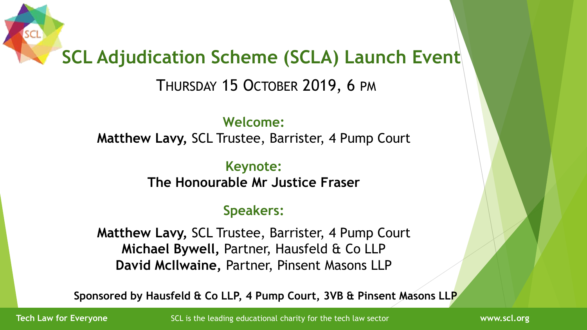### **SCL Adjudication Scheme (SCLA) Launch Event**

THURSDAY 15 OCTOBER 2019, 6 PM

**Welcome: Matthew Lavy,** SCL Trustee, Barrister, 4 Pump Court

> **Keynote: The Honourable Mr Justice Fraser**

#### **Speakers:**

**Matthew Lavy,** SCL Trustee, Barrister, 4 Pump Court **Michael Bywell,** Partner, Hausfeld & Co LLP **David McIlwaine,** Partner, Pinsent Masons LLP

**Sponsored by Hausfeld & Co LLP, 4 Pump Court, 3VB & Pinsent Masons LLP**

**Tech Law for Everyone** SCL is the leading educational charity for the tech law sector **The WWW.scl.org** www.scl.org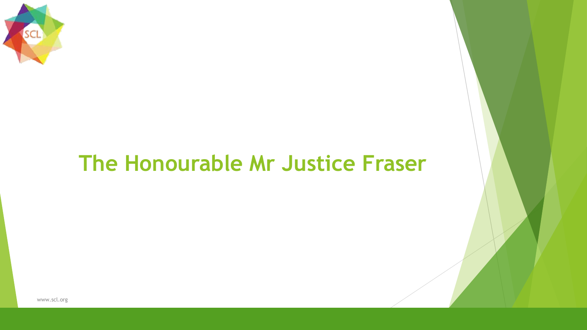

### **The Honourable Mr Justice Fraser**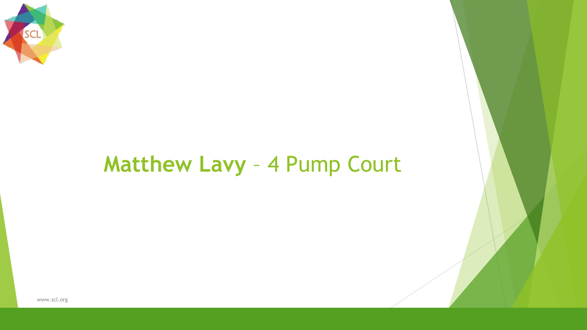

### **Matthew Lavy** – 4 Pump Court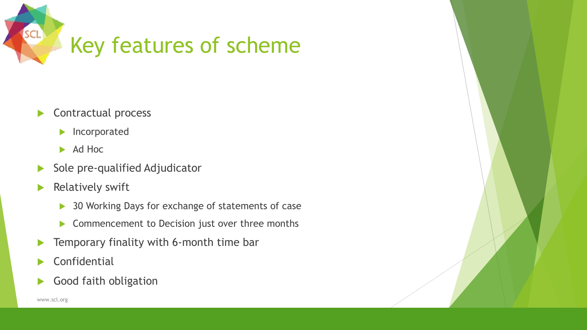

- Contractual process
	- **Incorporated**
	- $\blacktriangleright$  Ad Hoc
- $\blacktriangleright$  Sole pre-qualified Adjudicator
- $\blacktriangleright$  Relatively swift
	- ▶ 30 Working Days for exchange of statements of case
	- ▶ Commencement to Decision just over three months
- **F** Temporary finality with 6-month time bar
- **Confidential**
- Good faith obligation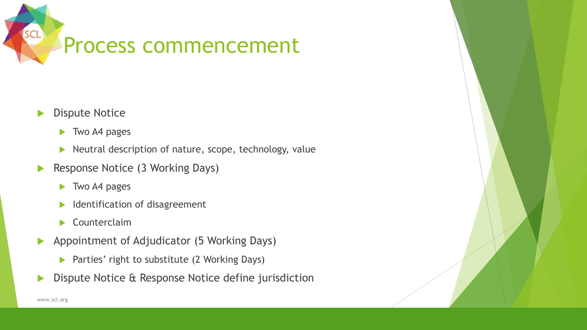

#### Dispute Notice

- ▶ Two A4 pages
- $\blacktriangleright$  Neutral description of nature, scope, technology, value
- Response Notice (3 Working Days)
	- ▶ Two A4 pages
	- $\blacktriangleright$  Identification of disagreement
	- Counterclaim
- Appointment of Adjudicator (5 Working Days)
	- ▶ Parties' right to substitute (2 Working Days)
- Dispute Notice & Response Notice define jurisdiction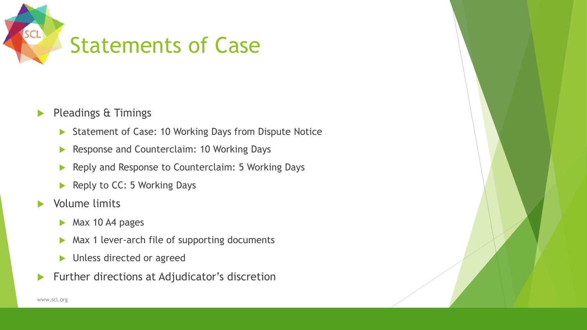

- Pleadings & Timings
	- ▶ Statement of Case: 10 Working Days from Dispute Notice
	- Response and Counterclaim: 10 Working Days
	- Reply and Response to Counterclaim: 5 Working Days
	- Reply to  $CC: 5$  Working Days
- **Nolume limits** 
	- Max 10 A4 pages
	- ▶ Max 1 lever-arch file of supporting documents
	- **Inless directed or agreed**
- **Further directions at Adjudicator's discretion**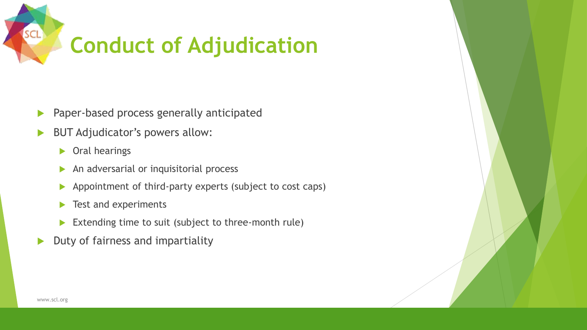

- Paper-based process generally anticipated
- BUT Adjudicator's powers allow:
	- ▶ Oral hearings
	- An adversarial or inquisitorial process
	- Appointment of third-party experts (subject to cost caps)
	- $\blacktriangleright$  Test and experiments
	- Extending time to suit (subject to three-month rule)
- $\blacktriangleright$  Duty of fairness and impartiality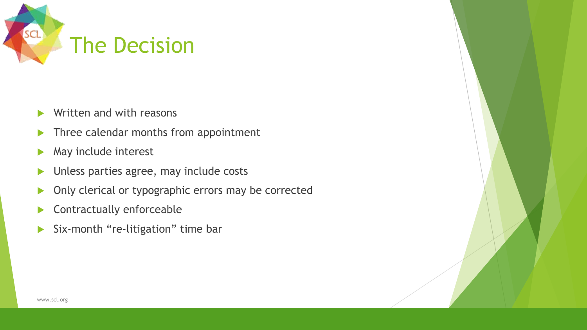

- $\blacktriangleright$  Written and with reasons
- Three calendar months from appointment
- May include interest
- **Inless parties agree, may include costs**
- **Diagonal Only clerical or typographic errors may be corrected**
- **Contractually enforceable**
- Six-month "re-litigation" time bar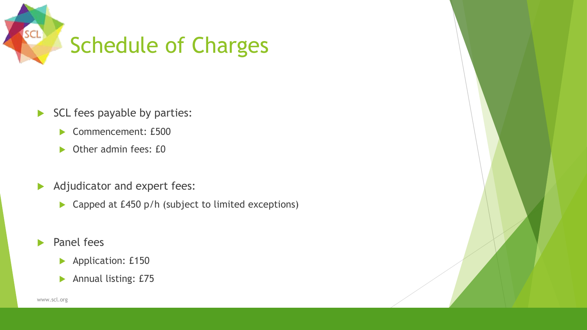

- SCL fees payable by parties:
	- Commencement: £500
	- ▶ Other admin fees: £0
- Adjudicator and expert fees:
	- ▶ Capped at £450 p/h (subject to limited exceptions)
- Panel fees
	- **Application: £150**
	- Annual listing: £75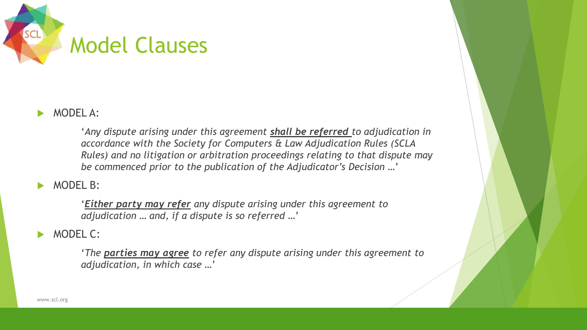

#### MODEL A:

'*Any dispute arising under this agreement shall be referred to adjudication in accordance with the Society for Computers & Law Adjudication Rules (SCLA Rules) and no litigation or arbitration proceedings relating to that dispute may be commenced prior to the publication of the Adjudicator's Decision …*'

#### MODEL B:

'*Either party may refer any dispute arising under this agreement to adjudication … and, if a dispute is so referred …*'

#### MODEL C:

'*The parties may agree to refer any dispute arising under this agreement to adjudication, in which case …*'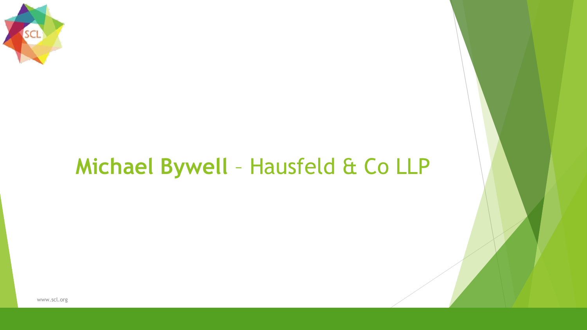

## **Michael Bywell** – Hausfeld & Co LLP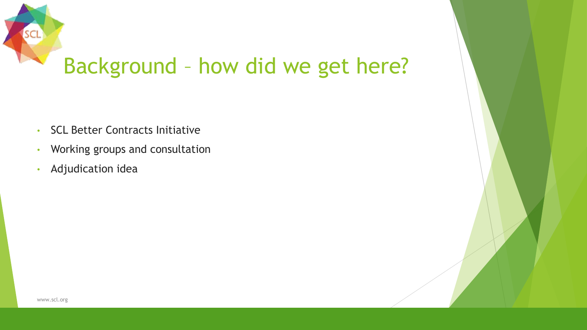

- SCL Better Contracts Initiative
- Working groups and consultation
- Adjudication idea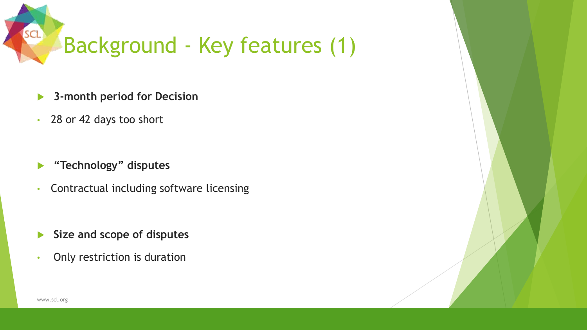

- **3-month period for Decision**
- 28 or 42 days too short
- **"Technology" disputes**
- Contractual including software licensing
- **Size and scope of disputes**
- Only restriction is duration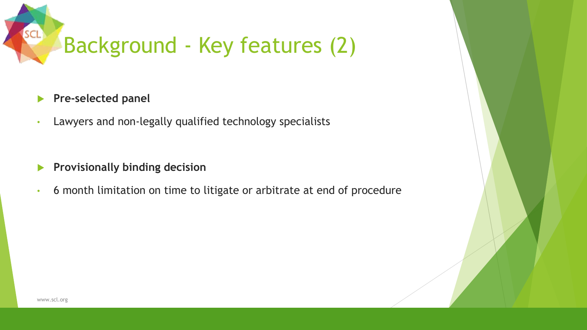

#### **Pre-selected panel**

- Lawyers and non-legally qualified technology specialists
- **Provisionally binding decision**
- 6 month limitation on time to litigate or arbitrate at end of procedure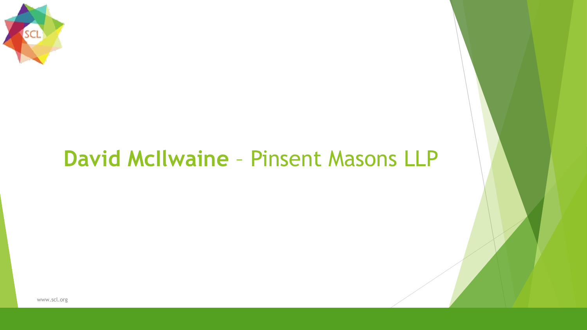

### **David McIlwaine** – Pinsent Masons LLP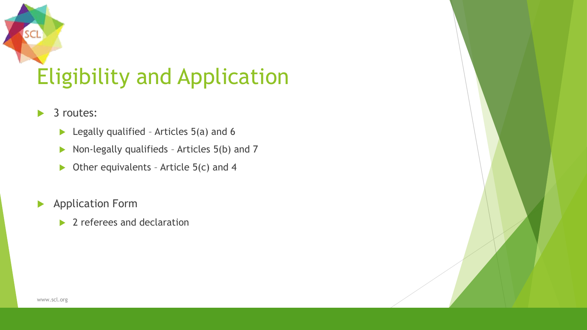

- ▶ 3 routes:
	- $\blacktriangleright$  Legally qualified Articles 5(a) and 6
	- $\triangleright$  Non-legally qualifieds Articles 5(b) and 7
	- $\triangleright$  Other equivalents Article 5(c) and 4
- **Application Form** 
	- ▶ 2 referees and declaration